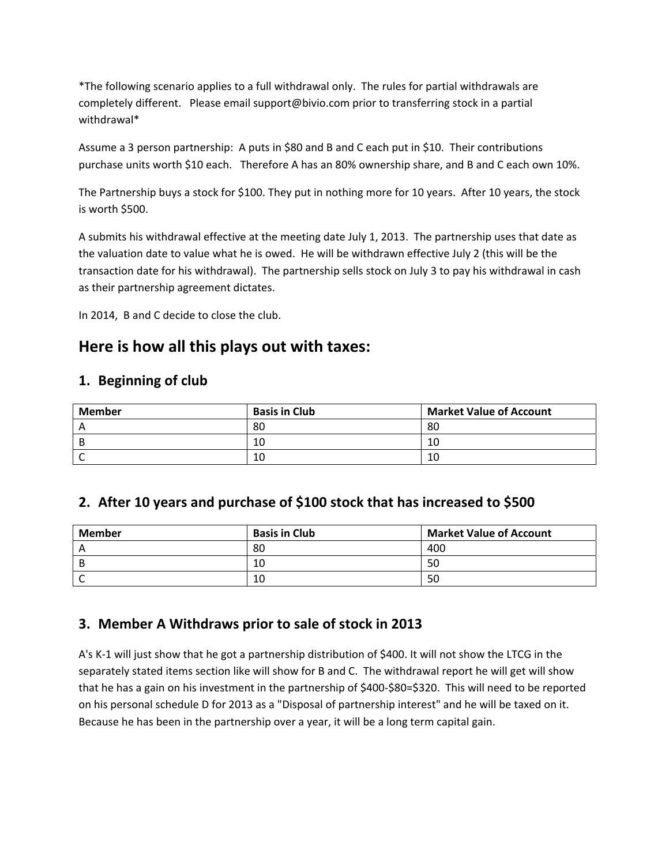\*The following scenario applies to a full withdrawal only. The rules for partial withdrawals are completely different. Please email support@bivio.com prior to transferring stock in a partial withdrawal\*

Assume a 3 person partnership: A puts in \$80 and B and C each put in \$10. Their contributions purchase units worth \$10 each. Therefore A has an 80% ownership share, and B and C each own 10%.

The Partnership buys a stock for \$100. They put in nothing more for 10 years. After 10 years, the stock is worth \$500.

A submits his withdrawal effective at the meeting date July 1, 2013. The partnership uses that date as the valuation date to value what he is owed. He will be withdrawn effective July 2 (this will be the transaction date for his withdrawal). The partnership sells stock on July 3 to pay his withdrawal in cash as their partnership agreement dictates.

In 2014, B and C decide to close the club.

# **Here is how all this plays out with taxes:**

#### **1. Beginning of club**

| Member | <b>Basis in Club</b> | <b>Market Value of Account</b> |
|--------|----------------------|--------------------------------|
|        | 80                   | 80                             |
| B      | 10                   | 10                             |
|        | 10                   | 10                             |

#### **2. After 10 years and purchase of \$100 stock that has increased to \$500**

| <b>Member</b> | <b>Basis in Club</b> | <b>Market Value of Account</b> |
|---------------|----------------------|--------------------------------|
|               | 80                   | 400                            |
|               | 10                   | 50                             |
|               | 10                   | 50                             |

### **3. Member A Withdraws prior to sale of stock in 2013**

A's K‐1 will just show that he got a partnership distribution of \$400. It will not show the LTCG in the separately stated items section like will show for B and C. The withdrawal report he will get will show that he has a gain on his investment in the partnership of \$400‐\$80=\$320. This will need to be reported on his personal schedule D for 2013 as a "Disposal of partnership interest" and he will be taxed on it. Because he has been in the partnership over a year, it will be a long term capital gain.